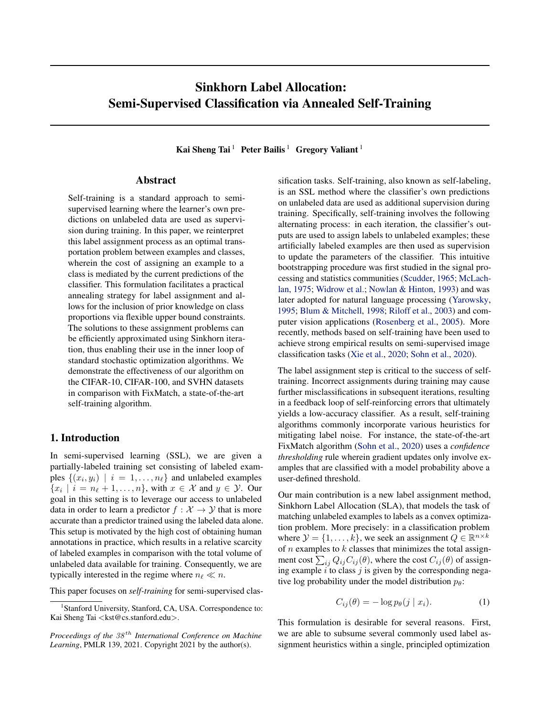# <span id="page-0-0"></span>Sinkhorn Label Allocation: Semi-Supervised Classification via Annealed Self-Training

Kai Sheng Tai<sup>1</sup> Peter Bailis<sup>1</sup> Gregory Valiant<sup>1</sup>

# Abstract

Self-training is a standard approach to semisupervised learning where the learner's own predictions on unlabeled data are used as supervision during training. In this paper, we reinterpret this label assignment process as an optimal transportation problem between examples and classes, wherein the cost of assigning an example to a class is mediated by the current predictions of the classifier. This formulation facilitates a practical annealing strategy for label assignment and allows for the inclusion of prior knowledge on class proportions via flexible upper bound constraints. The solutions to these assignment problems can be efficiently approximated using Sinkhorn iteration, thus enabling their use in the inner loop of standard stochastic optimization algorithms. We demonstrate the effectiveness of our algorithm on the CIFAR-10, CIFAR-100, and SVHN datasets in comparison with FixMatch, a state-of-the-art self-training algorithm.

# 1. Introduction

In semi-supervised learning (SSL), we are given a partially-labeled training set consisting of labeled examples  $\{(x_i, y_i) \mid i = 1, \ldots, n_\ell\}$  and unlabeled examples  $\{x_i \mid i = n_\ell + 1, \ldots, n\}$ , with  $x \in \mathcal{X}$  and  $y \in \mathcal{Y}$ . Our goal in this setting is to leverage our access to unlabeled data in order to learn a predictor  $f : \mathcal{X} \to \mathcal{Y}$  that is more accurate than a predictor trained using the labeled data alone. This setup is motivated by the high cost of obtaining human annotations in practice, which results in a relative scarcity of labeled examples in comparison with the total volume of unlabeled data available for training. Consequently, we are typically interested in the regime where  $n_\ell \ll n$ .

This paper focuses on *self-training* for semi-supervised clas-

sification tasks. Self-training, also known as self-labeling, is an SSL method where the classifier's own predictions on unlabeled data are used as additional supervision during training. Specifically, self-training involves the following alternating process: in each iteration, the classifier's outputs are used to assign labels to unlabeled examples; these artificially labeled examples are then used as supervision to update the parameters of the classifier. This intuitive bootstrapping procedure was first studied in the signal processing and statistics communities [\(Scudder,](#page-10-0) [1965;](#page-10-0) [McLach](#page-10-0)[lan,](#page-10-0) [1975;](#page-10-0) [Widrow et al.;](#page-10-0) [Nowlan & Hinton,](#page-10-0) [1993\)](#page-10-0) and was later adopted for natural language processing [\(Yarowsky,](#page-10-0) [1995;](#page-10-0) [Blum & Mitchell,](#page-9-0) [1998;](#page-9-0) [Riloff et al.,](#page-10-0) [2003\)](#page-10-0) and computer vision applications [\(Rosenberg et al.,](#page-10-0) [2005\)](#page-10-0). More recently, methods based on self-training have been used to achieve strong empirical results on semi-supervised image classification tasks [\(Xie et al.,](#page-10-0) [2020;](#page-10-0) [Sohn et al.,](#page-10-0) [2020\)](#page-10-0).

The label assignment step is critical to the success of selftraining. Incorrect assignments during training may cause further misclassifications in subsequent iterations, resulting in a feedback loop of self-reinforcing errors that ultimately yields a low-accuracy classifier. As a result, self-training algorithms commonly incorporate various heuristics for mitigating label noise. For instance, the state-of-the-art FixMatch algorithm [\(Sohn et al.,](#page-10-0) [2020\)](#page-10-0) uses a *confidence thresholding* rule wherein gradient updates only involve examples that are classified with a model probability above a user-defined threshold.

Our main contribution is a new label assignment method, Sinkhorn Label Allocation (SLA), that models the task of matching unlabeled examples to labels as a convex optimization problem. More precisely: in a classification problem where  $\mathcal{Y} = \{1, \ldots, k\}$ , we seek an assignment  $Q \in \mathbb{R}^{n \times k}$ of  $n$  examples to  $k$  classes that minimizes the total assignment cost  $\sum_{ij} Q_{ij} C_{ij} (\theta)$ , where the cost  $C_{ij} (\theta)$  of assigning example  $i$  to class  $j$  is given by the corresponding negative log probability under the model distribution  $p_\theta$ :

$$
C_{ij}(\theta) = -\log p_{\theta}(j \mid x_i). \tag{1}
$$

This formulation is desirable for several reasons. First, we are able to subsume several commonly used label assignment heuristics within a single, principled optimization

<sup>&</sup>lt;sup>1</sup>Stanford University, Stanford, CA, USA. Correspondence to: Kai Sheng Tai <kst@cs.stanford.edu>.

*Proceedings of the*  $38<sup>th</sup>$  *International Conference on Machine Learning*, PMLR 139, 2021. Copyright 2021 by the author(s).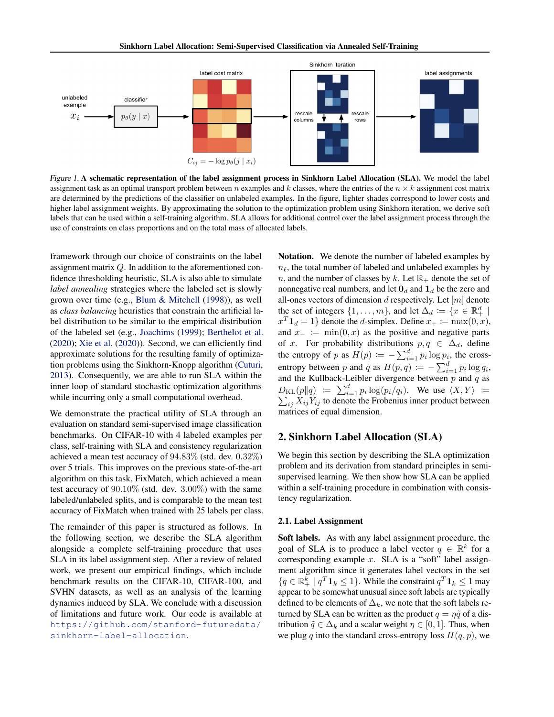

Figure 1. A schematic representation of the label assignment process in Sinkhorn Label Allocation (SLA). We model the label assignment task as an optimal transport problem between n examples and k classes, where the entries of the  $n \times k$  assignment cost matrix are determined by the predictions of the classifier on unlabeled examples. In the figure, lighter shades correspond to lower costs and higher label assignment weights. By approximating the solution to the optimization problem using Sinkhorn iteration, we derive soft labels that can be used within a self-training algorithm. SLA allows for additional control over the label assignment process through the use of constraints on class proportions and on the total mass of allocated labels.

framework through our choice of constraints on the label assignment matrix Q. In addition to the aforementioned confidence thresholding heuristic, SLA is also able to simulate *label annealing* strategies where the labeled set is slowly grown over time (e.g., [Blum & Mitchell](#page-9-0) [\(1998\)](#page-9-0)), as well as *class balancing* heuristics that constrain the artificial label distribution to be similar to the empirical distribution of the labeled set (e.g., [Joachims](#page-9-0) [\(1999\)](#page-9-0); [Berthelot et al.](#page-9-0) [\(2020\)](#page-9-0); [Xie et al.](#page-10-0) [\(2020\)](#page-10-0)). Second, we can efficiently find approximate solutions for the resulting family of optimization problems using the Sinkhorn-Knopp algorithm [\(Cuturi,](#page-9-0) [2013\)](#page-9-0). Consequently, we are able to run SLA within the inner loop of standard stochastic optimization algorithms while incurring only a small computational overhead.

We demonstrate the practical utility of SLA through an evaluation on standard semi-supervised image classification benchmarks. On CIFAR-10 with 4 labeled examples per class, self-training with SLA and consistency regularization achieved a mean test accuracy of 94.83% (std. dev. 0.32%) over 5 trials. This improves on the previous state-of-the-art algorithm on this task, FixMatch, which achieved a mean test accuracy of  $90.10\%$  (std. dev. 3.00%) with the same labeled/unlabeled splits, and is comparable to the mean test accuracy of FixMatch when trained with 25 labels per class.

The remainder of this paper is structured as follows. In the following section, we describe the SLA algorithm alongside a complete self-training procedure that uses SLA in its label assignment step. After a review of related work, we present our empirical findings, which include benchmark results on the CIFAR-10, CIFAR-100, and SVHN datasets, as well as an analysis of the learning dynamics induced by SLA. We conclude with a discussion of limitations and future work. Our code is available at [https://github.com/stanford-futuredata/](https://github.com/stanford-futuredata/sinkhorn-label-allocation) [sinkhorn-label-allocation](https://github.com/stanford-futuredata/sinkhorn-label-allocation).

Notation. We denote the number of labeled examples by  $n_{\ell}$ , the total number of labeled and unlabeled examples by n, and the number of classes by k. Let  $\mathbb{R}_+$  denote the set of nonnegative real numbers, and let  $\mathbf{0}_d$  and  $\mathbf{1}_d$  be the zero and all-ones vectors of dimension  $d$  respectively. Let  $[m]$  denote the set of integers  $\{1, \ldots, m\}$ , and let  $\Delta_d := \{x \in \mathbb{R}^d_+ \mid$  $x^T \mathbf{1}_d = 1$  denote the *d*-simplex. Define  $x_+ \coloneqq \max(0, x)$ , and  $x_ - := \min(0, x)$  as the positive and negative parts of x. For probability distributions  $p, q \in \Delta_d$ , define the entropy of p as  $H(p) := -\sum_{i=1}^{d} p_i \log p_i$ , the crossentropy between p and q as  $H(p,q) \coloneqq -\sum_{i=1}^{d} p_i \log q_i$ , and the Kullback-Leibler divergence between  $p$  and  $q$  as  $D_{\text{KL}}(p||q) \coloneqq \sum_{i=1}^d p_i$  $\sum$  $log(p_i/q_i)$ . We use  $\langle X, Y \rangle :=$  $i_j X_{ij}Y_{ij}$  to denote the Frobenius inner product between matrices of equal dimension.

## 2. Sinkhorn Label Allocation (SLA)

We begin this section by describing the SLA optimization problem and its derivation from standard principles in semisupervised learning. We then show how SLA can be applied within a self-training procedure in combination with consistency regularization.

## 2.1. Label Assignment

Soft labels. As with any label assignment procedure, the goal of SLA is to produce a label vector  $q \in \mathbb{R}^k$  for a corresponding example  $x$ . SLA is a "soft" label assignment algorithm since it generates label vectors in the set  $\{q \in \mathbb{R}^k_+ \mid q^T \mathbf{1}_k \leq 1\}$ . While the constraint  $q^T \mathbf{1}_k \leq 1$  may appear to be somewhat unusual since soft labels are typically defined to be elements of  $\Delta_k$ , we note that the soft labels returned by SLA can be written as the product  $q = \eta \tilde{q}$  of a distribution  $\tilde{q} \in \Delta_k$  and a scalar weight  $\eta \in [0, 1]$ . Thus, when we plug q into the standard cross-entropy loss  $H(q, p)$ , we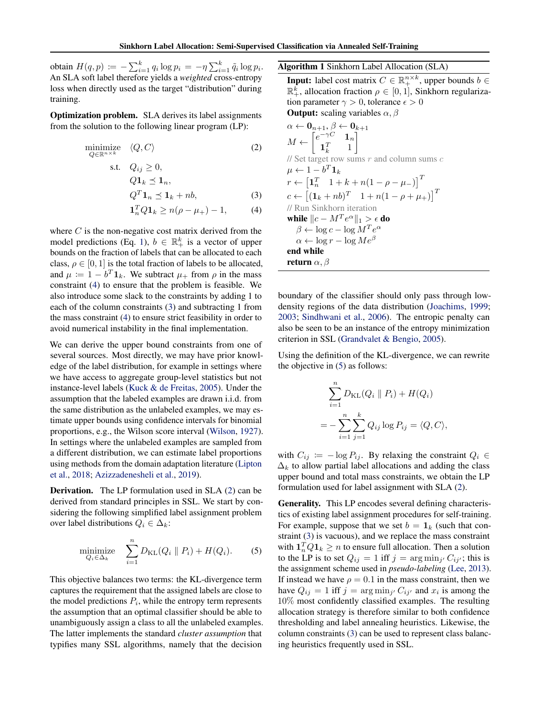<span id="page-2-0"></span>obtain  $H(q,p) \coloneqq -\sum_{i=1}^k q_i \log p_i = -\eta \sum_{i=1}^k \tilde{q}_i \log p_i.$ An SLA soft label therefore yields a *weighted* cross-entropy loss when directly used as the target "distribution" during training.

Optimization problem. SLA derives its label assignments from the solution to the following linear program (LP):

minimize 
$$
\langle Q, C \rangle
$$
 (2)  
\ns.t.  $Q_{ij} \ge 0$ ,  
\n $Q\mathbf{1}_k \le \mathbf{1}_n$ ,  
\n $Q^T \mathbf{1}_n \le \mathbf{1}_k + nb$ , (3)  
\n $\mathbf{1}_n^T Q \mathbf{1}_k \ge n(\rho - \mu_+) - 1$ , (4)

where  $C$  is the non-negative cost matrix derived from the model predictions (Eq. [1\)](#page-0-0),  $b \in \mathbb{R}^k_+$  is a vector of upper bounds on the fraction of labels that can be allocated to each class,  $\rho \in [0, 1]$  is the total fraction of labels to be allocated, and  $\mu \coloneqq 1 - b^T \mathbf{1}_k$ . We subtract  $\mu_+$  from  $\rho$  in the mass constraint (4) to ensure that the problem is feasible. We also introduce some slack to the constraints by adding 1 to each of the column constraints (3) and subtracting 1 from the mass constraint (4) to ensure strict feasibility in order to avoid numerical instability in the final implementation.

We can derive the upper bound constraints from one of several sources. Most directly, we may have prior knowledge of the label distribution, for example in settings where we have access to aggregate group-level statistics but not instance-level labels [\(Kuck & de Freitas,](#page-9-0) [2005\)](#page-9-0). Under the assumption that the labeled examples are drawn i.i.d. from the same distribution as the unlabeled examples, we may estimate upper bounds using confidence intervals for binomial proportions, e.g., the Wilson score interval [\(Wilson,](#page-10-0) [1927\)](#page-10-0). In settings where the unlabeled examples are sampled from a different distribution, we can estimate label proportions using methods from the domain adaptation literature [\(Lipton](#page-10-0) [et al.,](#page-10-0) [2018;](#page-10-0) [Azizzadenesheli et al.,](#page-9-0) [2019\)](#page-9-0).

Derivation. The LP formulation used in SLA (2) can be derived from standard principles in SSL. We start by considering the following simplified label assignment problem over label distributions  $Q_i \in \Delta_k$ :

$$
\underset{Q_i \in \Delta_k}{\text{minimize}} \quad \sum_{i=1}^n D_{\text{KL}}(Q_i \parallel P_i) + H(Q_i). \tag{5}
$$

This objective balances two terms: the KL-divergence term captures the requirement that the assigned labels are close to the model predictions  $P_i$ , while the entropy term represents the assumption that an optimal classifier should be able to unambiguously assign a class to all the unlabeled examples. The latter implements the standard *cluster assumption* that typifies many SSL algorithms, namely that the decision

Algorithm 1 Sinkhorn Label Allocation (SLA)

**Input:** label cost matrix  $C \in \mathbb{R}^{n \times k}_+$ , upper bounds  $b \in$  $\mathbb{R}^k_+$ , allocation fraction  $\rho \in [0,1]$ , Sinkhorn regularization parameter  $\gamma > 0$ , tolerance  $\epsilon > 0$ **Output:** scaling variables  $\alpha$ ,  $\beta$ 

 $\alpha \leftarrow \mathbf{0}_{n+1}, \beta \leftarrow \mathbf{0}_{k+1}$  $M \leftarrow \begin{bmatrix} e^{-\gamma C} & \mathbf{1}_n \\ \mathbf{1}^T & 1 \end{bmatrix}$  $\mathbf{1}_k^T$  1 1 // Set target row sums  $r$  and column sums  $c$  $\mu \leftarrow 1 - b^T \boldsymbol{1}_k$  $r \leftarrow \begin{bmatrix} \mathbf{1}_n^T & 1 + k + n(1 - \rho - \mu) \end{bmatrix}^T$  $c \leftarrow \begin{bmatrix} (\mathbf{1}_k + nb)^T & 1 + n(1 - \rho + \mu_+) \end{bmatrix}^T$ // Run Sinkhorn iteration while  $\| c - M^T e^{\alpha} \|_1 > \epsilon$  do  $\beta \leftarrow \log c - \log M^T e^{\alpha}$  $\alpha \leftarrow \log r - \log Me^{\beta}$ end while return  $\alpha$ ,  $\beta$ 

boundary of the classifier should only pass through lowdensity regions of the data distribution [\(Joachims,](#page-9-0) [1999;](#page-9-0) [2003;](#page-9-0) [Sindhwani et al.,](#page-10-0) [2006\)](#page-10-0). The entropic penalty can also be seen to be an instance of the entropy minimization criterion in SSL [\(Grandvalet & Bengio,](#page-9-0) [2005\)](#page-9-0).

Using the definition of the KL-divergence, we can rewrite the objective in (5) as follows:

$$
\sum_{i=1}^{n} D_{\text{KL}}(Q_i \parallel P_i) + H(Q_i)
$$
  
= 
$$
-\sum_{i=1}^{n} \sum_{j=1}^{k} Q_{ij} \log P_{ij} = \langle Q, C \rangle,
$$

with  $C_{ij} := -\log P_{ij}$ . By relaxing the constraint  $Q_i \in$  $\Delta_k$  to allow partial label allocations and adding the class upper bound and total mass constraints, we obtain the LP formulation used for label assignment with SLA (2).

Generality. This LP encodes several defining characteristics of existing label assignment procedures for self-training. For example, suppose that we set  $b = 1_k$  (such that constraint (3) is vacuous), and we replace the mass constraint with  $\mathbf{1}_n^T Q \mathbf{1}_k \geq n$  to ensure full allocation. Then a solution to the LP is to set  $Q_{ij} = 1$  iff  $j = \arg \min_{j'} C_{ij'}$ ; this is the assignment scheme used in *pseudo-labeling* [\(Lee,](#page-10-0) [2013\)](#page-10-0). If instead we have  $\rho = 0.1$  in the mass constraint, then we have  $Q_{ij} = 1$  iff  $j = \arg \min_{j'} C_{ij'}$  and  $x_i$  is among the 10% most confidently classified examples. The resulting allocation strategy is therefore similar to both confidence thresholding and label annealing heuristics. Likewise, the column constraints (3) can be used to represent class balancing heuristics frequently used in SSL.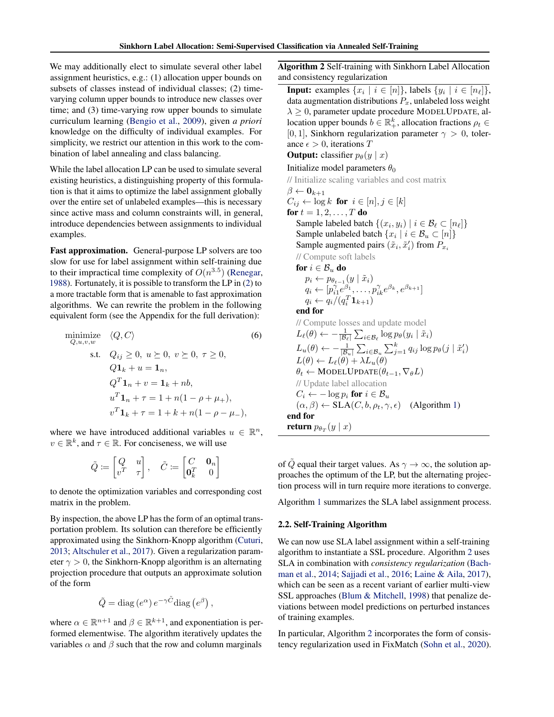<span id="page-3-0"></span>We may additionally elect to simulate several other label assignment heuristics, e.g.: (1) allocation upper bounds on subsets of classes instead of individual classes; (2) timevarying column upper bounds to introduce new classes over time; and (3) time-varying row upper bounds to simulate curriculum learning [\(Bengio et al.,](#page-9-0) [2009\)](#page-9-0), given *a priori* knowledge on the difficulty of individual examples. For simplicity, we restrict our attention in this work to the combination of label annealing and class balancing.

While the label allocation LP can be used to simulate several existing heuristics, a distinguishing property of this formulation is that it aims to optimize the label assignment globally over the entire set of unlabeled examples—this is necessary since active mass and column constraints will, in general, introduce dependencies between assignments to individual examples.

Fast approximation. General-purpose LP solvers are too slow for use for label assignment within self-training due to their impractical time complexity of  $O(n^{3.5})$  [\(Renegar,](#page-10-0) [1988\)](#page-10-0). Fortunately, it is possible to transform the LP in [\(2\)](#page-2-0) to a more tractable form that is amenable to fast approximation algorithms. We can rewrite the problem in the following equivalent form (see the Appendix for the full derivation):

minimize 
$$
\langle Q, C \rangle
$$
 (6)  
\ns.t.  $Q_{ij} \ge 0, u \ge 0, v \ge 0, \tau \ge 0,$   
\n $Q\mathbf{1}_k + u = \mathbf{1}_n,$   
\n $Q^T \mathbf{1}_n + v = \mathbf{1}_k + nb,$   
\n $u^T \mathbf{1}_n + \tau = 1 + n(1 - \rho + \mu_+),$   
\n $v^T \mathbf{1}_k + \tau = 1 + k + n(1 - \rho - \mu_-),$ 

where we have introduced additional variables  $u \in \mathbb{R}^n$ ,  $v \in \mathbb{R}^k$ , and  $\tau \in \mathbb{R}$ . For conciseness, we will use

$$
\tilde{Q} \coloneqq \begin{bmatrix} Q & u \\ v^T & \tau \end{bmatrix}, \quad \tilde{C} \coloneqq \begin{bmatrix} C & \mathbf{0}_n \\ \mathbf{0}_k^T & 0 \end{bmatrix}
$$

to denote the optimization variables and corresponding cost matrix in the problem.

By inspection, the above LP has the form of an optimal transportation problem. Its solution can therefore be efficiently approximated using the Sinkhorn-Knopp algorithm [\(Cuturi,](#page-9-0) [2013;](#page-9-0) [Altschuler et al.,](#page-8-0) [2017\)](#page-8-0). Given a regularization parameter  $\gamma > 0$ , the Sinkhorn-Knopp algorithm is an alternating projection procedure that outputs an approximate solution of the form

$$
\tilde{Q} = \text{diag}(e^{\alpha}) e^{-\gamma \tilde{C}} \text{diag}(e^{\beta}),
$$

where  $\alpha \in \mathbb{R}^{n+1}$  and  $\beta \in \mathbb{R}^{k+1}$ , and exponentiation is performed elementwise. The algorithm iteratively updates the variables  $\alpha$  and  $\beta$  such that the row and column marginals

Algorithm 2 Self-training with Sinkhorn Label Allocation and consistency regularization

**Input:** examples  $\{x_i \mid i \in [n]\}$ , labels  $\{y_i \mid i \in [n_\ell]\}$ , data augmentation distributions  $P_x$ , unlabeled loss weight  $\lambda \geq 0$ , parameter update procedure MODELUPDATE, allocation upper bounds  $b \in \mathbb{R}_+^k$ , allocation fractions  $\rho_t \in$ [0, 1], Sinkhorn regularization parameter  $\gamma > 0$ , tolerance  $\epsilon > 0$ , iterations T

**Output:** classifier  $p_{\theta}(y | x)$ 

Initialize model parameters  $\theta_0$ 

```
// Initialize scaling variables and cost matrix
```
 $\beta \leftarrow \mathbf{0}_{k+1}$  $C_{ij} \leftarrow \log k$  for  $i \in [n], j \in [k]$ for  $t = 1, 2, \ldots, T$  do Sample labeled batch  $\{(x_i, y_i) \mid i \in \mathcal{B}_\ell \subset [n_\ell]\}$ Sample unlabeled batch  $\{x_i \mid i \in \mathcal{B}_u \subset [n]\}$ Sample augmented pairs  $(\tilde{x}_i, \tilde{x}'_i)$  from  $P_{x_i}$ // Compute soft labels for  $i \in \mathcal{B}_u$  do  $p_i \leftarrow p_{\theta_{t-1}}(y \mid \tilde{x}_i)$  $q_i \leftarrow [p_{i1}^{\gamma}e^{\beta_1}, \ldots, p_{ik}^{\gamma}e^{\beta_k}, e^{\beta_{k+1}}]$  $q_i \leftarrow q_i/(q_i^T \mathbf{1}_{k+1})$ end for // Compute losses and update model  $L_{\ell}(\theta) \leftarrow -\frac{1}{|\mathcal{B}_{\ell}|} \sum_{i \in \mathcal{B}_{\ell}} \log p_{\theta}(y_i \mid \tilde{x}_i)$  $L_u(\theta) \leftarrow -\frac{1}{|\mathcal{B}_u|} \sum_{i \in \mathcal{B}_u} \sum_{j=1}^k q_{ij} \log p_{\theta}(j | \tilde{x}'_i)$  $L(\theta) \leftarrow L_{\ell}(\theta) + \lambda L_{\nu}(\theta)$  $\theta_t \leftarrow \text{MoDELUPDATE}(\theta_{t-1}, \nabla_{\theta} L)$ // Update label allocation  $C_i \leftarrow -\log p_i$  for  $i \in \mathcal{B}_u$  $(\alpha, \beta) \leftarrow \text{SLA}(C, b, \rho_t, \gamma, \epsilon)$  (Algorithm [1\)](#page-2-0) end for return  $p_{\theta_T}(y \mid x)$ 

of  $\tilde{Q}$  equal their target values. As  $\gamma \to \infty$ , the solution approaches the optimum of the LP, but the alternating projection process will in turn require more iterations to converge.

Algorithm [1](#page-2-0) summarizes the SLA label assignment process.

#### 2.2. Self-Training Algorithm

We can now use SLA label assignment within a self-training algorithm to instantiate a SSL procedure. Algorithm 2 uses SLA in combination with *consistency regularization* [\(Bach](#page-9-0)[man et al.,](#page-9-0) [2014;](#page-9-0) [Sajjadi et al.,](#page-10-0) [2016;](#page-10-0) [Laine & Aila,](#page-9-0) [2017\)](#page-9-0), which can be seen as a recent variant of earlier multi-view SSL approaches [\(Blum & Mitchell,](#page-9-0) [1998\)](#page-9-0) that penalize deviations between model predictions on perturbed instances of training examples.

In particular, Algorithm 2 incorporates the form of consistency regularization used in FixMatch [\(Sohn et al.,](#page-10-0) [2020\)](#page-10-0).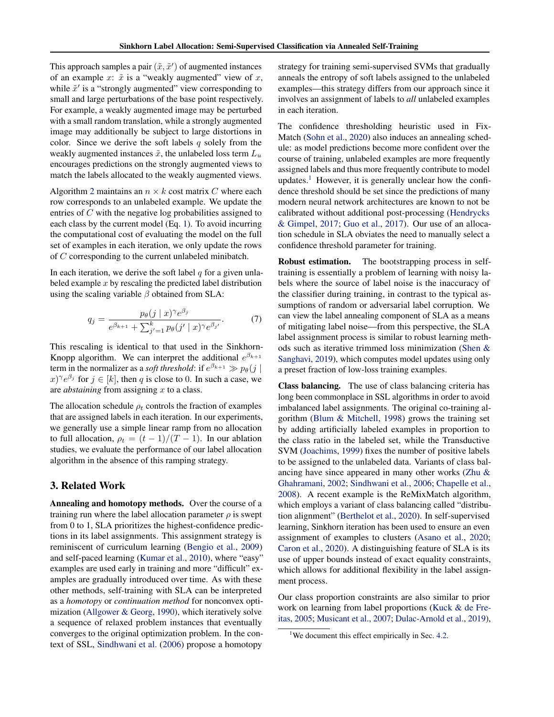This approach samples a pair  $(\tilde{x}, \tilde{x}')$  of augmented instances of an example  $x: \tilde{x}$  is a "weakly augmented" view of  $x$ , while  $\tilde{x}'$  is a "strongly augmented" view corresponding to small and large perturbations of the base point respectively. For example, a weakly augmented image may be perturbed with a small random translation, while a strongly augmented image may additionally be subject to large distortions in color. Since we derive the soft labels  $q$  solely from the weakly augmented instances  $\tilde{x}$ , the unlabeled loss term  $L_u$ encourages predictions on the strongly augmented views to match the labels allocated to the weakly augmented views.

Algorithm [2](#page-3-0) maintains an  $n \times k$  cost matrix C where each row corresponds to an unlabeled example. We update the entries of C with the negative log probabilities assigned to each class by the current model (Eq. [1\)](#page-0-0). To avoid incurring the computational cost of evaluating the model on the full set of examples in each iteration, we only update the rows of C corresponding to the current unlabeled minibatch.

In each iteration, we derive the soft label  $q$  for a given unlabeled example  $x$  by rescaling the predicted label distribution using the scaling variable  $\beta$  obtained from SLA:

$$
q_j = \frac{p_\theta(j \mid x)^\gamma e^{\beta_j}}{e^{\beta_{k+1}} + \sum_{j'=1}^k p_\theta(j' \mid x)^\gamma e^{\beta_{j'}}}. \tag{7}
$$

This rescaling is identical to that used in the Sinkhorn-Knopp algorithm. We can interpret the additional  $e^{\beta_{k+1}}$ term in the normalizer as a *soft threshold*: if  $e^{\beta_{k+1}} \gg p_{\theta}(j \mid$  $(x)$ <sup> $\gamma e^{\beta_j}$ </sup> for  $j \in [k]$ , then q is close to 0. In such a case, we are *abstaining* from assigning x to a class.

The allocation schedule  $\rho_t$  controls the fraction of examples that are assigned labels in each iteration. In our experiments, we generally use a simple linear ramp from no allocation to full allocation,  $\rho_t = (t-1)/(T-1)$ . In our ablation studies, we evaluate the performance of our label allocation algorithm in the absence of this ramping strategy.

## 3. Related Work

Annealing and homotopy methods. Over the course of a training run where the label allocation parameter  $\rho$  is swept from 0 to 1, SLA prioritizes the highest-confidence predictions in its label assignments. This assignment strategy is reminiscent of curriculum learning [\(Bengio et al.,](#page-9-0) [2009\)](#page-9-0) and self-paced learning [\(Kumar et al.,](#page-9-0) [2010\)](#page-9-0), where "easy" examples are used early in training and more "difficult" examples are gradually introduced over time. As with these other methods, self-training with SLA can be interpreted as a *homotopy* or *continuation method* for nonconvex optimization [\(Allgower & Georg,](#page-8-0) [1990\)](#page-8-0), which iteratively solve a sequence of relaxed problem instances that eventually converges to the original optimization problem. In the context of SSL, [Sindhwani et al.](#page-10-0) [\(2006\)](#page-10-0) propose a homotopy

strategy for training semi-supervised SVMs that gradually anneals the entropy of soft labels assigned to the unlabeled examples—this strategy differs from our approach since it involves an assignment of labels to *all* unlabeled examples in each iteration.

The confidence thresholding heuristic used in Fix-Match [\(Sohn et al.,](#page-10-0) [2020\)](#page-10-0) also induces an annealing schedule: as model predictions become more confident over the course of training, unlabeled examples are more frequently assigned labels and thus more frequently contribute to model updates.<sup>1</sup> However, it is generally unclear how the confidence threshold should be set since the predictions of many modern neural network architectures are known to not be calibrated without additional post-processing [\(Hendrycks](#page-9-0) [& Gimpel,](#page-9-0) [2017;](#page-9-0) [Guo et al.,](#page-9-0) [2017\)](#page-9-0). Our use of an allocation schedule in SLA obviates the need to manually select a confidence threshold parameter for training.

Robust estimation. The bootstrapping process in selftraining is essentially a problem of learning with noisy labels where the source of label noise is the inaccuracy of the classifier during training, in contrast to the typical assumptions of random or adversarial label corruption. We can view the label annealing component of SLA as a means of mitigating label noise—from this perspective, the SLA label assignment process is similar to robust learning methods such as iterative trimmed loss minimization [\(Shen &](#page-10-0) [Sanghavi,](#page-10-0) [2019\)](#page-10-0), which computes model updates using only a preset fraction of low-loss training examples.

Class balancing. The use of class balancing criteria has long been commonplace in SSL algorithms in order to avoid imbalanced label assignments. The original co-training algorithm [\(Blum & Mitchell,](#page-9-0) [1998\)](#page-9-0) grows the training set by adding artificially labeled examples in proportion to the class ratio in the labeled set, while the Transductive SVM [\(Joachims,](#page-9-0) [1999\)](#page-9-0) fixes the number of positive labels to be assigned to the unlabeled data. Variants of class balancing have since appeared in many other works [\(Zhu &](#page-10-0) [Ghahramani,](#page-10-0) [2002;](#page-10-0) [Sindhwani et al.,](#page-10-0) [2006;](#page-10-0) [Chapelle et al.,](#page-9-0) [2008\)](#page-9-0). A recent example is the ReMixMatch algorithm, which employs a variant of class balancing called "distribution alignment" [\(Berthelot et al.,](#page-9-0) [2020\)](#page-9-0). In self-supervised learning, Sinkhorn iteration has been used to ensure an even assignment of examples to clusters [\(Asano et al.,](#page-9-0) [2020;](#page-9-0) [Caron et al.,](#page-9-0) [2020\)](#page-9-0). A distinguishing feature of SLA is its use of upper bounds instead of exact equality constraints, which allows for additional flexibility in the label assignment process.

Our class proportion constraints are also similar to prior work on learning from label proportions [\(Kuck & de Fre](#page-9-0)[itas,](#page-9-0) [2005;](#page-9-0) [Musicant et al.,](#page-10-0) [2007;](#page-10-0) [Dulac-Arnold et al.,](#page-9-0) [2019\)](#page-9-0),

<sup>&</sup>lt;sup>1</sup>We document this effect empirically in Sec. [4.2.](#page-6-0)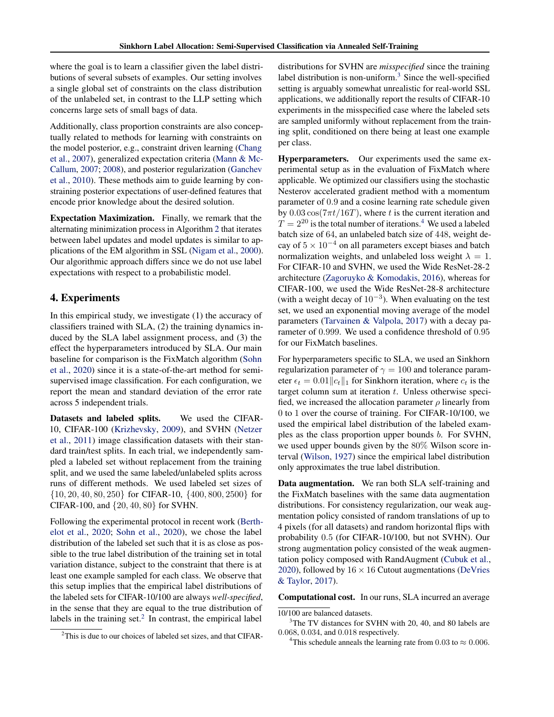where the goal is to learn a classifier given the label distributions of several subsets of examples. Our setting involves a single global set of constraints on the class distribution of the unlabeled set, in contrast to the LLP setting which concerns large sets of small bags of data.

Additionally, class proportion constraints are also conceptually related to methods for learning with constraints on the model posterior, e.g., constraint driven learning [\(Chang](#page-9-0) [et al.,](#page-9-0) [2007\)](#page-9-0), generalized expectation criteria [\(Mann & Mc-](#page-10-0)[Callum,](#page-10-0) [2007;](#page-10-0) [2008\)](#page-10-0), and posterior regularization [\(Ganchev](#page-9-0) [et al.,](#page-9-0) [2010\)](#page-9-0). These methods aim to guide learning by constraining posterior expectations of user-defined features that encode prior knowledge about the desired solution.

Expectation Maximization. Finally, we remark that the alternating minimization process in Algorithm [2](#page-3-0) that iterates between label updates and model updates is similar to applications of the EM algorithm in SSL [\(Nigam et al.,](#page-10-0) [2000\)](#page-10-0). Our algorithmic approach differs since we do not use label expectations with respect to a probabilistic model.

# 4. Experiments

In this empirical study, we investigate (1) the accuracy of classifiers trained with SLA, (2) the training dynamics induced by the SLA label assignment process, and (3) the effect the hyperparameters introduced by SLA. Our main baseline for comparison is the FixMatch algorithm [\(Sohn](#page-10-0) [et al.,](#page-10-0) [2020\)](#page-10-0) since it is a state-of-the-art method for semisupervised image classification. For each configuration, we report the mean and standard deviation of the error rate across 5 independent trials.

Datasets and labeled splits. We used the CIFAR-10, CIFAR-100 [\(Krizhevsky,](#page-9-0) [2009\)](#page-9-0), and SVHN [\(Netzer](#page-10-0) [et al.,](#page-10-0) [2011\)](#page-10-0) image classification datasets with their standard train/test splits. In each trial, we independently sampled a labeled set without replacement from the training split, and we used the same labeled/unlabeled splits across runs of different methods. We used labeled set sizes of {10, 20, 40, 80, 250} for CIFAR-10, {400, 800, 2500} for CIFAR-100, and {20, 40, 80} for SVHN.

Following the experimental protocol in recent work [\(Berth](#page-9-0)[elot et al.,](#page-9-0) [2020;](#page-9-0) [Sohn et al.,](#page-10-0) [2020\)](#page-10-0), we chose the label distribution of the labeled set such that it is as close as possible to the true label distribution of the training set in total variation distance, subject to the constraint that there is at least one example sampled for each class. We observe that this setup implies that the empirical label distributions of the labeled sets for CIFAR-10/100 are always *well-specified*, in the sense that they are equal to the true distribution of labels in the training set. $2$  In contrast, the empirical label

distributions for SVHN are *misspecified* since the training label distribution is non-uniform.<sup>3</sup> Since the well-specified setting is arguably somewhat unrealistic for real-world SSL applications, we additionally report the results of CIFAR-10 experiments in the misspecified case where the labeled sets are sampled uniformly without replacement from the training split, conditioned on there being at least one example per class.

Hyperparameters. Our experiments used the same experimental setup as in the evaluation of FixMatch where applicable. We optimized our classifiers using the stochastic Nesterov accelerated gradient method with a momentum parameter of 0.9 and a cosine learning rate schedule given by  $0.03 \cos(7\pi t/16T)$ , where t is the current iteration and  $T = 2^{20}$  is the total number of iterations.<sup>4</sup> We used a labeled batch size of 64, an unlabeled batch size of 448, weight decay of  $5 \times 10^{-4}$  on all parameters except biases and batch normalization weights, and unlabeled loss weight  $\lambda = 1$ . For CIFAR-10 and SVHN, we used the Wide ResNet-28-2 architecture [\(Zagoruyko & Komodakis,](#page-10-0) [2016\)](#page-10-0), whereas for CIFAR-100, we used the Wide ResNet-28-8 architecture (with a weight decay of  $10^{-3}$ ). When evaluating on the test set, we used an exponential moving average of the model parameters [\(Tarvainen & Valpola,](#page-10-0) [2017\)](#page-10-0) with a decay parameter of 0.999. We used a confidence threshold of 0.95 for our FixMatch baselines.

For hyperparameters specific to SLA, we used an Sinkhorn regularization parameter of  $\gamma = 100$  and tolerance parameter  $\epsilon_t = 0.01 ||c_t||_1$  for Sinkhorn iteration, where  $c_t$  is the target column sum at iteration  $t$ . Unless otherwise specified, we increased the allocation parameter  $\rho$  linearly from 0 to 1 over the course of training. For CIFAR-10/100, we used the empirical label distribution of the labeled examples as the class proportion upper bounds b. For SVHN, we used upper bounds given by the 80% Wilson score interval [\(Wilson,](#page-10-0) [1927\)](#page-10-0) since the empirical label distribution only approximates the true label distribution.

Data augmentation. We ran both SLA self-training and the FixMatch baselines with the same data augmentation distributions. For consistency regularization, our weak augmentation policy consisted of random translations of up to 4 pixels (for all datasets) and random horizontal flips with probability 0.5 (for CIFAR-10/100, but not SVHN). Our strong augmentation policy consisted of the weak augmentation policy composed with RandAugment [\(Cubuk et al.,](#page-9-0) [2020\)](#page-9-0), followed by  $16 \times 16$  Cutout augmentations [\(DeVries](#page-9-0) [& Taylor,](#page-9-0) [2017\)](#page-9-0).

Computational cost. In our runs, SLA incurred an average

<sup>3</sup>The TV distances for SVHN with 20, 40, and 80 labels are 0.068, 0.034, and 0.018 respectively.

<sup>4</sup>This schedule anneals the learning rate from 0.03 to  $\approx$  0.006.

<sup>2</sup>This is due to our choices of labeled set sizes, and that CIFAR-

<sup>10/100</sup> are balanced datasets.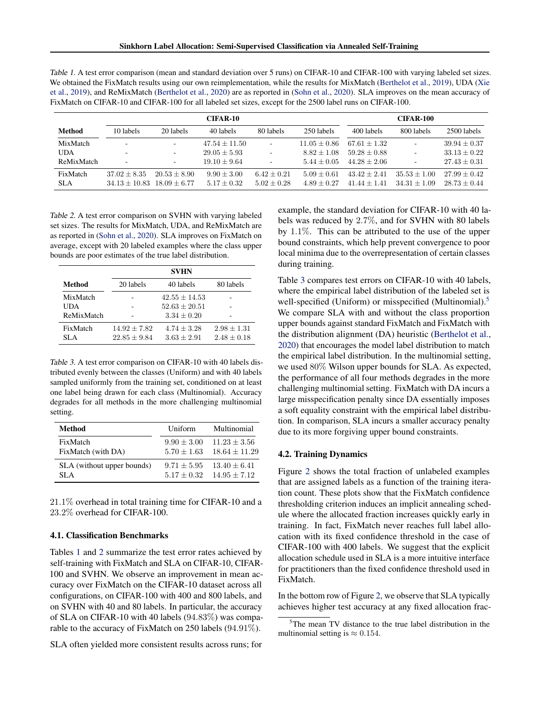<span id="page-6-0"></span>

| Table 1. A test error comparison (mean and standard deviation over 5 runs) on CIFAR-10 and CIFAR-100 with varying labeled set sizes. |
|--------------------------------------------------------------------------------------------------------------------------------------|
| We obtained the FixMatch results using our own reimplementation, while the results for MixMatch (Berthelot et al., 2019), UDA (Xie   |
| et al., 2019), and ReMixMatch (Berthelot et al., 2020) are as reported in (Sohn et al., 2020). SLA improves on the mean accuracy of  |
| FixMatch on CIFAR-10 and CIFAR-100 for all labeled set sizes, except for the 2500 label runs on CIFAR-100.                           |

|               |                          |                | <b>CIFAR-10</b>   |                          |                  |                  | <b>CIFAR-100</b>         |                  |
|---------------|--------------------------|----------------|-------------------|--------------------------|------------------|------------------|--------------------------|------------------|
| <b>Method</b> | 10 labels                | 20 labels      | 40 labels         | 80 labels                | 250 labels       | 400 labels       | 800 labels               | 2500 labels      |
| MixMatch      | $\sim$                   | ۰.             | $47.54 \pm 11.50$ | $\overline{\phantom{a}}$ | $11.05 \pm 0.86$ | $67.61 \pm 1.32$ | ۰                        | $39.94 \pm 0.37$ |
| UDA           | $\overline{\phantom{a}}$ | ۰.             | $29.05 \pm 5.93$  | $\overline{\phantom{a}}$ | $8.82 + 1.08$    | $59.28 + 0.88$   | $\overline{\phantom{a}}$ | $33.13 + 0.22$   |
| ReMixMatch    | $\overline{\phantom{a}}$ |                | $19.10 + 9.64$    | $\overline{\phantom{a}}$ | $5.44 + 0.05$    | $44.28 + 2.06$   | ٠                        | $27.43 + 0.31$   |
| FixMatch      | $37.02 \pm 8.35$         | $20.53 + 8.90$ | $9.90 + 3.00$     | $6.42 \pm 0.21$          | $5.09 + 0.61$    | $43.42 + 2.41$   | $35.53 + 1.00$           | $27.99 + 0.42$   |
| <b>SLA</b>    | $34.13 + 10.83$          | $18.09 + 6.77$ | $5.17 + 0.32$     | $5.02 + 0.28$            | $4.89 + 0.27$    | $41.44 + 1.41$   | $34.31 + 1.09$           | $28.73 + 0.44$   |

Table 2. A test error comparison on SVHN with varying labeled set sizes. The results for MixMatch, UDA, and ReMixMatch are as reported in [\(Sohn et al.,](#page-10-0) [2020\)](#page-10-0). SLA improves on FixMatch on average, except with 20 labeled examples where the class upper bounds are poor estimates of the true label distribution.

| <b>SVHN</b>    |                 |                                  |  |  |  |
|----------------|-----------------|----------------------------------|--|--|--|
| 20 labels      | 40 labels       | 80 labels                        |  |  |  |
|                | $42.55 + 14.53$ |                                  |  |  |  |
|                | $52.63 + 20.51$ |                                  |  |  |  |
|                | $3.34 + 0.20$   |                                  |  |  |  |
| $14.92 + 7.82$ | $4.74 + 3.28$   | $2.98 + 1.31$<br>$2.48 \pm 0.18$ |  |  |  |
|                | $22.85 + 9.84$  | $3.63 + 2.91$                    |  |  |  |

Table 3. A test error comparison on CIFAR-10 with 40 labels distributed evenly between the classes (Uniform) and with 40 labels sampled uniformly from the training set, conditioned on at least one label being drawn for each class (Multinomial). Accuracy degrades for all methods in the more challenging multinomial setting.

| Method                     | Uniform         | Multinomial       |
|----------------------------|-----------------|-------------------|
| FixMatch                   | $9.90 \pm 3.00$ | $11.23 \pm 3.56$  |
| FixMatch (with DA)         | $5.70 + 1.63$   | $18.64 \pm 11.29$ |
| SLA (without upper bounds) | $9.71 + 5.95$   | $13.40 \pm 6.41$  |
| SLA.                       | $5.17 + 0.32$   | $14.95 + 7.12$    |

21.1% overhead in total training time for CIFAR-10 and a 23.2% overhead for CIFAR-100.

### 4.1. Classification Benchmarks

Tables 1 and 2 summarize the test error rates achieved by self-training with FixMatch and SLA on CIFAR-10, CIFAR-100 and SVHN. We observe an improvement in mean accuracy over FixMatch on the CIFAR-10 dataset across all configurations, on CIFAR-100 with 400 and 800 labels, and on SVHN with 40 and 80 labels. In particular, the accuracy of SLA on CIFAR-10 with 40 labels (94.83%) was comparable to the accuracy of FixMatch on 250 labels (94.91%).

SLA often yielded more consistent results across runs; for

example, the standard deviation for CIFAR-10 with 40 labels was reduced by 2.7%, and for SVHN with 80 labels by 1.1%. This can be attributed to the use of the upper bound constraints, which help prevent convergence to poor local minima due to the overrepresentation of certain classes during training.

Table 3 compares test errors on CIFAR-10 with 40 labels, where the empirical label distribution of the labeled set is well-specified (Uniform) or misspecified (Multinomial).<sup>5</sup> We compare SLA with and without the class proportion upper bounds against standard FixMatch and FixMatch with the distribution alignment (DA) heuristic [\(Berthelot et al.,](#page-9-0) [2020\)](#page-9-0) that encourages the model label distribution to match the empirical label distribution. In the multinomial setting, we used 80% Wilson upper bounds for SLA. As expected, the performance of all four methods degrades in the more challenging multinomial setting. FixMatch with DA incurs a large misspecification penalty since DA essentially imposes a soft equality constraint with the empirical label distribution. In comparison, SLA incurs a smaller accuracy penalty due to its more forgiving upper bound constraints.

### 4.2. Training Dynamics

Figure [2](#page-7-0) shows the total fraction of unlabeled examples that are assigned labels as a function of the training iteration count. These plots show that the FixMatch confidence thresholding criterion induces an implicit annealing schedule where the allocated fraction increases quickly early in training. In fact, FixMatch never reaches full label allocation with its fixed confidence threshold in the case of CIFAR-100 with 400 labels. We suggest that the explicit allocation schedule used in SLA is a more intuitive interface for practitioners than the fixed confidence threshold used in FixMatch.

In the bottom row of Figure [2,](#page-7-0) we observe that SLA typically achieves higher test accuracy at any fixed allocation frac-

<sup>&</sup>lt;sup>5</sup>The mean TV distance to the true label distribution in the multinomial setting is  $\approx 0.154$ .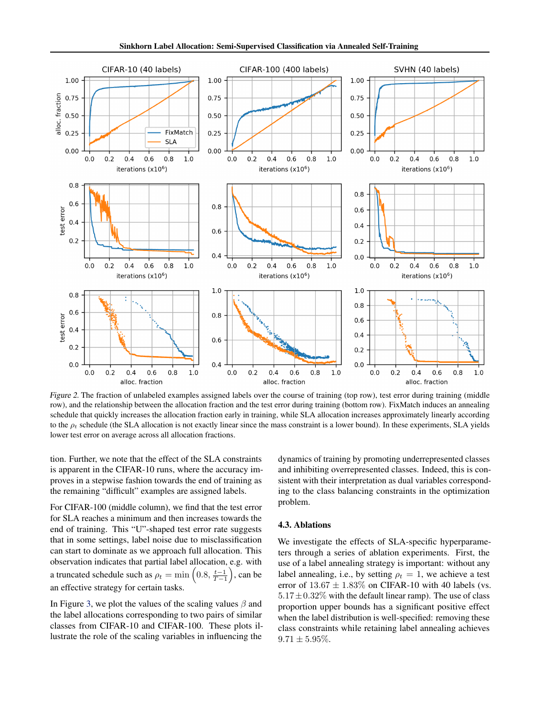<span id="page-7-0"></span>

Figure 2. The fraction of unlabeled examples assigned labels over the course of training (top row), test error during training (middle row), and the relationship between the allocation fraction and the test error during training (bottom row). FixMatch induces an annealing schedule that quickly increases the allocation fraction early in training, while SLA allocation increases approximately linearly according to the  $\rho_t$  schedule (the SLA allocation is not exactly linear since the mass constraint is a lower bound). In these experiments, SLA yields lower test error on average across all allocation fractions.

tion. Further, we note that the effect of the SLA constraints is apparent in the CIFAR-10 runs, where the accuracy improves in a stepwise fashion towards the end of training as the remaining "difficult" examples are assigned labels.

For CIFAR-100 (middle column), we find that the test error for SLA reaches a minimum and then increases towards the end of training. This "U"-shaped test error rate suggests that in some settings, label noise due to misclassification can start to dominate as we approach full allocation. This observation indicates that partial label allocation, e.g. with a truncated schedule such as  $\rho_t = \min\left(0.8, \frac{t-1}{T-1}\right)$ , can be an effective strategy for certain tasks.

In Figure [3,](#page-8-0) we plot the values of the scaling values  $\beta$  and the label allocations corresponding to two pairs of similar classes from CIFAR-10 and CIFAR-100. These plots illustrate the role of the scaling variables in influencing the

dynamics of training by promoting underrepresented classes and inhibiting overrepresented classes. Indeed, this is consistent with their interpretation as dual variables corresponding to the class balancing constraints in the optimization problem.

### 4.3. Ablations

We investigate the effects of SLA-specific hyperparameters through a series of ablation experiments. First, the use of a label annealing strategy is important: without any label annealing, i.e., by setting  $\rho_t = 1$ , we achieve a test error of  $13.67 \pm 1.83\%$  on CIFAR-10 with 40 labels (vs.  $5.17 \pm 0.32\%$  with the default linear ramp). The use of class proportion upper bounds has a significant positive effect when the label distribution is well-specified: removing these class constraints while retaining label annealing achieves  $9.71 \pm 5.95\%$ .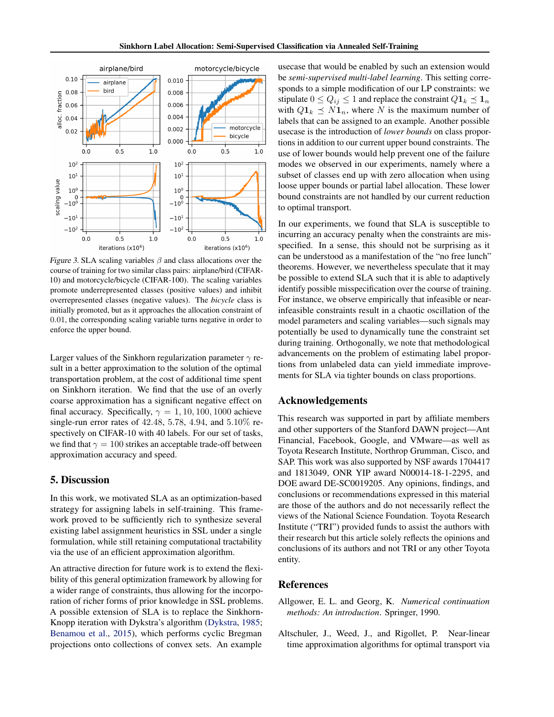<span id="page-8-0"></span>

Figure 3. SLA scaling variables  $\beta$  and class allocations over the course of training for two similar class pairs: airplane/bird (CIFAR-10) and motorcycle/bicycle (CIFAR-100). The scaling variables promote underrepresented classes (positive values) and inhibit overrepresented classes (negative values). The *bicycle* class is initially promoted, but as it approaches the allocation constraint of 0.01, the corresponding scaling variable turns negative in order to enforce the upper bound.

Larger values of the Sinkhorn regularization parameter  $\gamma$  result in a better approximation to the solution of the optimal transportation problem, at the cost of additional time spent on Sinkhorn iteration. We find that the use of an overly coarse approximation has a significant negative effect on final accuracy. Specifically,  $\gamma = 1, 10, 100, 1000$  achieve single-run error rates of 42.48, 5.78, 4.94, and 5.10% respectively on CIFAR-10 with 40 labels. For our set of tasks, we find that  $\gamma = 100$  strikes an acceptable trade-off between approximation accuracy and speed.

# 5. Discussion

In this work, we motivated SLA as an optimization-based strategy for assigning labels in self-training. This framework proved to be sufficiently rich to synthesize several existing label assignment heuristics in SSL under a single formulation, while still retaining computational tractability via the use of an efficient approximation algorithm.

An attractive direction for future work is to extend the flexibility of this general optimization framework by allowing for a wider range of constraints, thus allowing for the incorporation of richer forms of prior knowledge in SSL problems. A possible extension of SLA is to replace the Sinkhorn-Knopp iteration with Dykstra's algorithm [\(Dykstra,](#page-9-0) [1985;](#page-9-0) [Benamou et al.,](#page-9-0) [2015\)](#page-9-0), which performs cyclic Bregman projections onto collections of convex sets. An example

usecase that would be enabled by such an extension would be *semi-supervised multi-label learning*. This setting corresponds to a simple modification of our LP constraints: we stipulate  $0 \le Q_{ij} \le 1$  and replace the constraint  $Q\mathbf{1}_k \le \mathbf{1}_n$ with  $Q_1_k \preceq N_1_n$ , where N is the maximum number of labels that can be assigned to an example. Another possible usecase is the introduction of *lower bounds* on class proportions in addition to our current upper bound constraints. The use of lower bounds would help prevent one of the failure modes we observed in our experiments, namely where a subset of classes end up with zero allocation when using loose upper bounds or partial label allocation. These lower bound constraints are not handled by our current reduction to optimal transport.

In our experiments, we found that SLA is susceptible to incurring an accuracy penalty when the constraints are misspecified. In a sense, this should not be surprising as it can be understood as a manifestation of the "no free lunch" theorems. However, we nevertheless speculate that it may be possible to extend SLA such that it is able to adaptively identify possible misspecification over the course of training. For instance, we observe empirically that infeasible or nearinfeasible constraints result in a chaotic oscillation of the model parameters and scaling variables—such signals may potentially be used to dynamically tune the constraint set during training. Orthogonally, we note that methodological advancements on the problem of estimating label proportions from unlabeled data can yield immediate improvements for SLA via tighter bounds on class proportions.

## Acknowledgements

This research was supported in part by affiliate members and other supporters of the Stanford DAWN project—Ant Financial, Facebook, Google, and VMware—as well as Toyota Research Institute, Northrop Grumman, Cisco, and SAP. This work was also supported by NSF awards 1704417 and 1813049, ONR YIP award N00014-18-1-2295, and DOE award DE-SC0019205. Any opinions, findings, and conclusions or recommendations expressed in this material are those of the authors and do not necessarily reflect the views of the National Science Foundation. Toyota Research Institute ("TRI") provided funds to assist the authors with their research but this article solely reflects the opinions and conclusions of its authors and not TRI or any other Toyota entity.

## References

- Allgower, E. L. and Georg, K. *Numerical continuation methods: An introduction*. Springer, 1990.
- Altschuler, J., Weed, J., and Rigollet, P. Near-linear time approximation algorithms for optimal transport via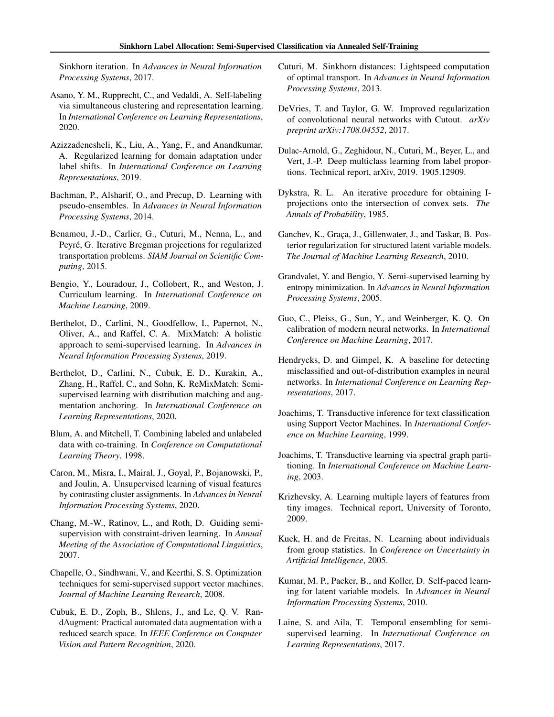<span id="page-9-0"></span>Sinkhorn iteration. In *Advances in Neural Information Processing Systems*, 2017.

- Asano, Y. M., Rupprecht, C., and Vedaldi, A. Self-labeling via simultaneous clustering and representation learning. In *International Conference on Learning Representations*, 2020.
- Azizzadenesheli, K., Liu, A., Yang, F., and Anandkumar, A. Regularized learning for domain adaptation under label shifts. In *International Conference on Learning Representations*, 2019.
- Bachman, P., Alsharif, O., and Precup, D. Learning with pseudo-ensembles. In *Advances in Neural Information Processing Systems*, 2014.
- Benamou, J.-D., Carlier, G., Cuturi, M., Nenna, L., and Peyré, G. Iterative Bregman projections for regularized transportation problems. *SIAM Journal on Scientific Computing*, 2015.
- Bengio, Y., Louradour, J., Collobert, R., and Weston, J. Curriculum learning. In *International Conference on Machine Learning*, 2009.
- Berthelot, D., Carlini, N., Goodfellow, I., Papernot, N., Oliver, A., and Raffel, C. A. MixMatch: A holistic approach to semi-supervised learning. In *Advances in Neural Information Processing Systems*, 2019.
- Berthelot, D., Carlini, N., Cubuk, E. D., Kurakin, A., Zhang, H., Raffel, C., and Sohn, K. ReMixMatch: Semisupervised learning with distribution matching and augmentation anchoring. In *International Conference on Learning Representations*, 2020.
- Blum, A. and Mitchell, T. Combining labeled and unlabeled data with co-training. In *Conference on Computational Learning Theory*, 1998.
- Caron, M., Misra, I., Mairal, J., Goyal, P., Bojanowski, P., and Joulin, A. Unsupervised learning of visual features by contrasting cluster assignments. In *Advances in Neural Information Processing Systems*, 2020.
- Chang, M.-W., Ratinov, L., and Roth, D. Guiding semisupervision with constraint-driven learning. In *Annual Meeting of the Association of Computational Linguistics*, 2007.
- Chapelle, O., Sindhwani, V., and Keerthi, S. S. Optimization techniques for semi-supervised support vector machines. *Journal of Machine Learning Research*, 2008.
- Cubuk, E. D., Zoph, B., Shlens, J., and Le, Q. V. RandAugment: Practical automated data augmentation with a reduced search space. In *IEEE Conference on Computer Vision and Pattern Recognition*, 2020.
- Cuturi, M. Sinkhorn distances: Lightspeed computation of optimal transport. In *Advances in Neural Information Processing Systems*, 2013.
- DeVries, T. and Taylor, G. W. Improved regularization of convolutional neural networks with Cutout. *arXiv preprint arXiv:1708.04552*, 2017.
- Dulac-Arnold, G., Zeghidour, N., Cuturi, M., Beyer, L., and Vert, J.-P. Deep multiclass learning from label proportions. Technical report, arXiv, 2019. 1905.12909.
- Dykstra, R. L. An iterative procedure for obtaining Iprojections onto the intersection of convex sets. *The Annals of Probability*, 1985.
- Ganchev, K., Graça, J., Gillenwater, J., and Taskar, B. Posterior regularization for structured latent variable models. *The Journal of Machine Learning Research*, 2010.
- Grandvalet, Y. and Bengio, Y. Semi-supervised learning by entropy minimization. In *Advances in Neural Information Processing Systems*, 2005.
- Guo, C., Pleiss, G., Sun, Y., and Weinberger, K. Q. On calibration of modern neural networks. In *International Conference on Machine Learning*, 2017.
- Hendrycks, D. and Gimpel, K. A baseline for detecting misclassified and out-of-distribution examples in neural networks. In *International Conference on Learning Representations*, 2017.
- Joachims, T. Transductive inference for text classification using Support Vector Machines. In *International Conference on Machine Learning*, 1999.
- Joachims, T. Transductive learning via spectral graph partitioning. In *International Conference on Machine Learning*, 2003.
- Krizhevsky, A. Learning multiple layers of features from tiny images. Technical report, University of Toronto, 2009.
- Kuck, H. and de Freitas, N. Learning about individuals from group statistics. In *Conference on Uncertainty in Artificial Intelligence*, 2005.
- Kumar, M. P., Packer, B., and Koller, D. Self-paced learning for latent variable models. In *Advances in Neural Information Processing Systems*, 2010.
- Laine, S. and Aila, T. Temporal ensembling for semisupervised learning. In *International Conference on Learning Representations*, 2017.